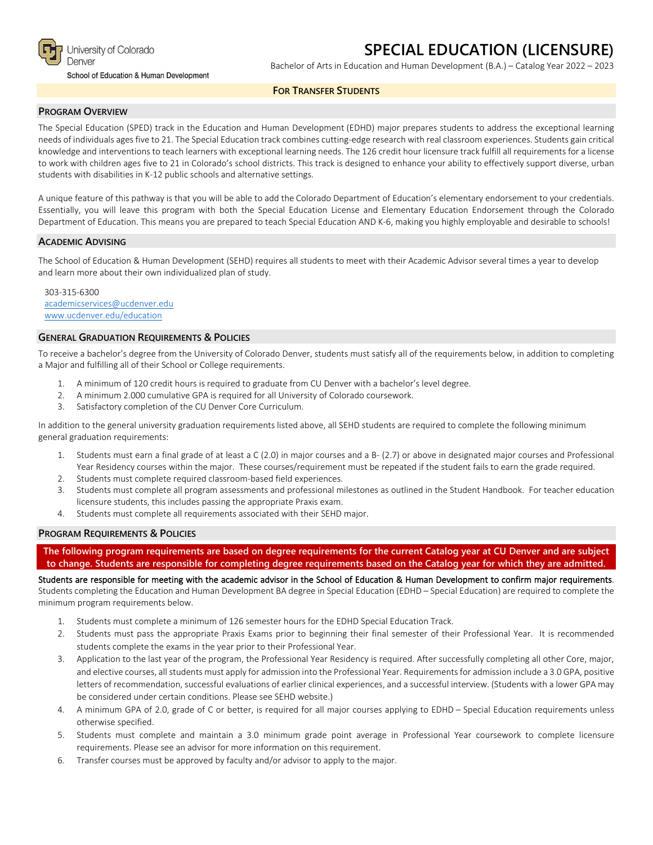

University of Colorado Denver

School of Education & Human Development

# **SPECIAL EDUCATION (LICENSURE)**

Bachelor of Arts in Education and Human Development (B.A.) – Catalog Year 2022 – 2023

## **FOR TRANSFER STUDENTS**

### **PROGRAM OVERVIEW**

The Special Education (SPED) track in the Education and Human Development (EDHD) major prepares students to address the exceptional learning needs of individuals ages five to 21. The Special Education track combines cutting-edge research with real classroom experiences. Students gain critical knowledge and interventions to teach learners with exceptional learning needs. The 126 credit hour licensure track fulfill all requirements for a license to work with children ages five to 21 in Colorado's school districts. This track is designed to enhance your ability to effectively support diverse, urban students with disabilities in K-12 public schools and alternative settings.

A unique feature of this pathway is that you will be able to add the Colorado Department of Education's elementary endorsement to your credentials. Essentially, you will leave this program with both the Special Education License and Elementary Education Endorsement through the Colorado Department of Education. This means you are prepared to teach Special Education AND K-6, making you highly employable and desirable to schools!

### **ACADEMIC ADVISING**

The School of Education & Human Development (SEHD) requires all students to meet with their Academic Advisor several times a year to develop and learn more about their own individualized plan of study.

303-315-6300 [academicservices@ucdenver.edu](mailto:academicservices@ucdenver.edu) [www.ucdenver.edu/education](http://www.ucdenver.edu/education)

## **GENERAL GRADUATION REQUIREMENTS & POLICIES**

To receive a bachelor's degree from the University of Colorado Denver, students must satisfy all of the requirements below, in addition to completing a Major and fulfilling all of their School or College requirements.

- 1. A minimum of 120 credit hours is required to graduate from CU Denver with a bachelor's level degree.
- 2. A minimum 2.000 cumulative GPA is required for all University of Colorado coursework.
- 3. Satisfactory completion of the CU Denver Core Curriculum.

In addition to the general university graduation requirements listed above, all SEHD students are required to complete the following minimum general graduation requirements:

- 1. Students must earn a final grade of at least a C (2.0) in major courses and a B- (2.7) or above in designated major courses and Professional Year Residency courses within the major. These courses/requirement must be repeated if the student fails to earn the grade required.
- 2. Students must complete required classroom-based field experiences.
- 3. Students must complete all program assessments and professional milestones as outlined in the Student Handbook. For teacher education licensure students, this includes passing the appropriate Praxis exam.
- 4. Students must complete all requirements associated with their SEHD major.

## **PROGRAM REQUIREMENTS & POLICIES**

**The following program requirements are based on degree requirements for the current Catalog year at CU Denver and are subject to change. Students are responsible for completing degree requirements based on the Catalog year for which they are admitted.**

Students are responsible for meeting with the academic advisor in the School of Education & Human Development to confirm major requirements. Students completing the Education and Human Development BA degree in Special Education (EDHD – Special Education) are required to complete the minimum program requirements below.

- 1. Students must complete a minimum of 126 semester hours for the EDHD Special Education Track.
- 2. Students must pass the appropriate Praxis Exams prior to beginning their final semester of their Professional Year. It is recommended students complete the exams in the year prior to their Professional Year.
- 3. Application to the last year of the program, the Professional Year Residency is required. After successfully completing all other Core, major, and elective courses, all students must apply for admission into the Professional Year. Requirements for admission include a 3.0 GPA, positive letters of recommendation, successful evaluations of earlier clinical experiences, and a successful interview. (Students with a lower GPA may be considered under certain conditions. Please see SEHD website.)
- 4. A minimum GPA of 2.0, grade of C or better, is required for all major courses applying to EDHD Special Education requirements unless otherwise specified.
- 5. Students must complete and maintain a 3.0 minimum grade point average in Professional Year coursework to complete licensure requirements. Please see an advisor for more information on this requirement.
- 6. Transfer courses must be approved by faculty and/or advisor to apply to the major.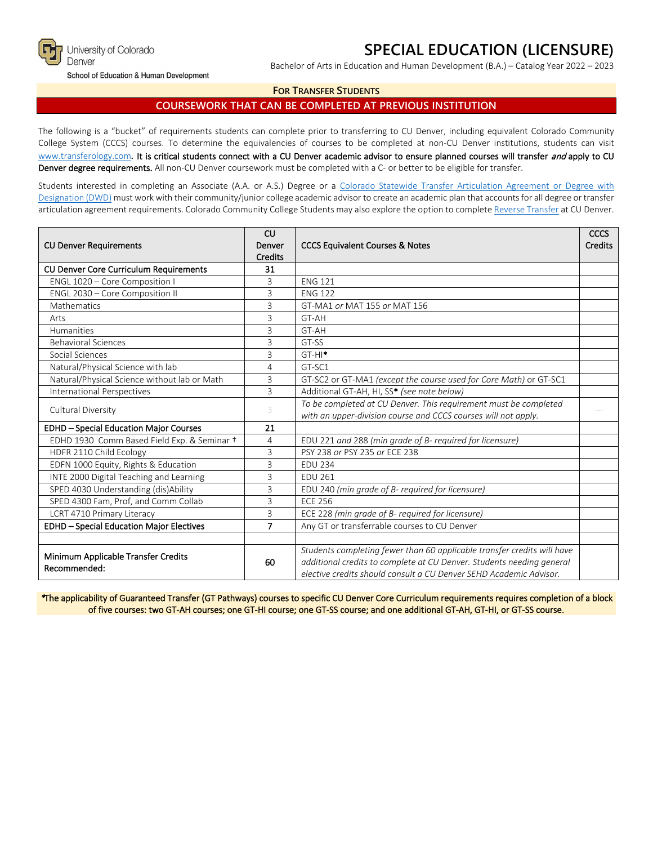

# **SPECIAL EDUCATION (LICENSURE)**

School of Education & Human Development

Bachelor of Arts in Education and Human Development (B.A.) – Catalog Year 2022 – 2023

## **FOR TRANSFER STUDENTS**

# **COURSEWORK THAT CAN BE COMPLETED AT PREVIOUS INSTITUTION**

The following is a "bucket" of requirements students can complete prior to transferring to CU Denver, including equivalent Colorado Community College System (CCCS) courses. To determine the equivalencies of courses to be completed at non-CU Denver institutions, students can visit [www.transferology.com](http://www.transferology.com/)**.** It is critical students connect with a CU Denver academic advisor to ensure planned courses will transfer and apply to CU Denver degree requirements. All non-CU Denver coursework must be completed with a C- or better to be eligible for transfer.

Students interested in completing an Associate (A.A. or A.S.) Degree or a Colorado [Statewide Transfer Articulation Agreement or Degree with](https://highered.colorado.gov/Academics/Transfers/TransferDegrees.html)  [Designation \(DWD\)](https://highered.colorado.gov/Academics/Transfers/TransferDegrees.html) must work with their community/junior college academic advisor to create an academic plan that accounts for all degree or transfer articulation agreement requirements. Colorado Community College Students may also explore the option to complet[e Reverse Transfer](https://degreewithinreach.wordpress.com/) at CU Denver.

| <b>CU Denver Requirements</b>                       | CU<br>Denver<br><b>Credits</b> | <b>CCCS Equivalent Courses &amp; Notes</b>                                                                                                                                                                             |  |
|-----------------------------------------------------|--------------------------------|------------------------------------------------------------------------------------------------------------------------------------------------------------------------------------------------------------------------|--|
| CU Denver Core Curriculum Requirements              | 31                             |                                                                                                                                                                                                                        |  |
| ENGL 1020 - Core Composition I                      | 3                              | <b>ENG 121</b>                                                                                                                                                                                                         |  |
| ENGL 2030 - Core Composition II                     | 3                              | <b>ENG 122</b>                                                                                                                                                                                                         |  |
| Mathematics                                         | 3                              | GT-MA1 or MAT 155 or MAT 156                                                                                                                                                                                           |  |
| Arts                                                | 3                              | GT-AH                                                                                                                                                                                                                  |  |
| <b>Humanities</b>                                   | 3                              | GT-AH                                                                                                                                                                                                                  |  |
| <b>Behavioral Sciences</b>                          | $\overline{3}$                 | GT-SS                                                                                                                                                                                                                  |  |
| Social Sciences                                     | 3                              | $GT-HI^*$                                                                                                                                                                                                              |  |
| Natural/Physical Science with lab                   | $\overline{4}$                 | GT-SC1                                                                                                                                                                                                                 |  |
| Natural/Physical Science without lab or Math        | 3                              | GT-SC2 or GT-MA1 (except the course used for Core Math) or GT-SC1                                                                                                                                                      |  |
| <b>International Perspectives</b>                   | 3                              | Additional GT-AH, HI, SS* (see note below)                                                                                                                                                                             |  |
| Cultural Diversity                                  | 3                              | To be completed at CU Denver. This requirement must be completed<br>with an upper-division course and CCCS courses will not apply.                                                                                     |  |
| <b>EDHD - Special Education Major Courses</b>       | 21                             |                                                                                                                                                                                                                        |  |
| EDHD 1930 Comm Based Field Exp. & Seminar +         | 4                              | EDU 221 and 288 (min grade of B- required for licensure)                                                                                                                                                               |  |
| HDFR 2110 Child Ecology                             | 3                              | PSY 238 or PSY 235 or ECE 238                                                                                                                                                                                          |  |
| EDFN 1000 Equity, Rights & Education                | 3                              | <b>EDU 234</b>                                                                                                                                                                                                         |  |
| INTE 2000 Digital Teaching and Learning             | 3                              | <b>EDU 261</b>                                                                                                                                                                                                         |  |
| SPED 4030 Understanding (dis)Ability                | 3                              | EDU 240 (min grade of B- required for licensure)                                                                                                                                                                       |  |
| SPED 4300 Fam, Prof, and Comm Collab                | 3                              | <b>ECE 256</b>                                                                                                                                                                                                         |  |
| LCRT 4710 Primary Literacy                          | 3                              | ECE 228 (min grade of B- required for licensure)                                                                                                                                                                       |  |
| <b>EDHD - Special Education Major Electives</b>     | $\overline{7}$                 | Any GT or transferrable courses to CU Denver                                                                                                                                                                           |  |
|                                                     |                                |                                                                                                                                                                                                                        |  |
| Minimum Applicable Transfer Credits<br>Recommended: | 60                             | Students completing fewer than 60 applicable transfer credits will have<br>additional credits to complete at CU Denver. Students needing general<br>elective credits should consult a CU Denver SEHD Academic Advisor. |  |

\*The applicability of Guaranteed Transfer (GT Pathways) courses to specific CU Denver Core Curriculum requirements requires completion of a block of five courses: two GT-AH courses; one GT-HI course; one GT-SS course; and one additional GT-AH, GT-HI, or GT-SS course.